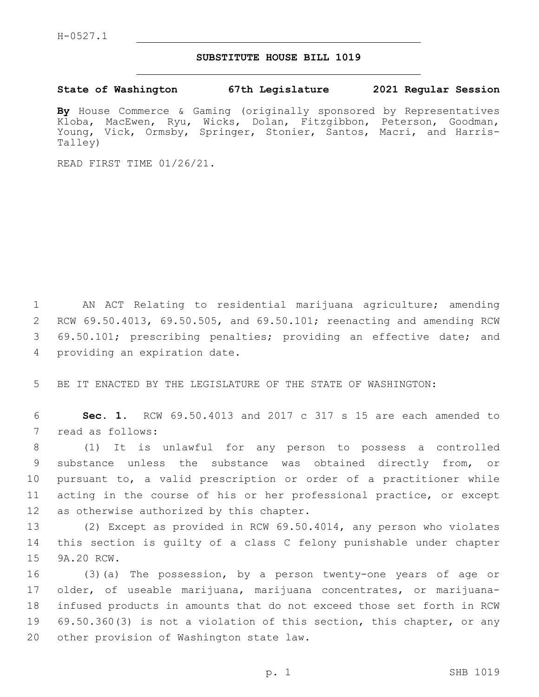## **SUBSTITUTE HOUSE BILL 1019**

## **State of Washington 67th Legislature 2021 Regular Session**

**By** House Commerce & Gaming (originally sponsored by Representatives Kloba, MacEwen, Ryu, Wicks, Dolan, Fitzgibbon, Peterson, Goodman, Young, Vick, Ormsby, Springer, Stonier, Santos, Macri, and Harris-Talley)

READ FIRST TIME 01/26/21.

 AN ACT Relating to residential marijuana agriculture; amending RCW 69.50.4013, 69.50.505, and 69.50.101; reenacting and amending RCW 69.50.101; prescribing penalties; providing an effective date; and 4 providing an expiration date.

5 BE IT ENACTED BY THE LEGISLATURE OF THE STATE OF WASHINGTON:

6 **Sec. 1.** RCW 69.50.4013 and 2017 c 317 s 15 are each amended to 7 read as follows:

 (1) It is unlawful for any person to possess a controlled substance unless the substance was obtained directly from, or pursuant to, a valid prescription or order of a practitioner while acting in the course of his or her professional practice, or except 12 as otherwise authorized by this chapter.

13 (2) Except as provided in RCW 69.50.4014, any person who violates 14 this section is guilty of a class C felony punishable under chapter 15 9A.20 RCW.

 (3)(a) The possession, by a person twenty-one years of age or older, of useable marijuana, marijuana concentrates, or marijuana- infused products in amounts that do not exceed those set forth in RCW 69.50.360(3) is not a violation of this section, this chapter, or any 20 other provision of Washington state law.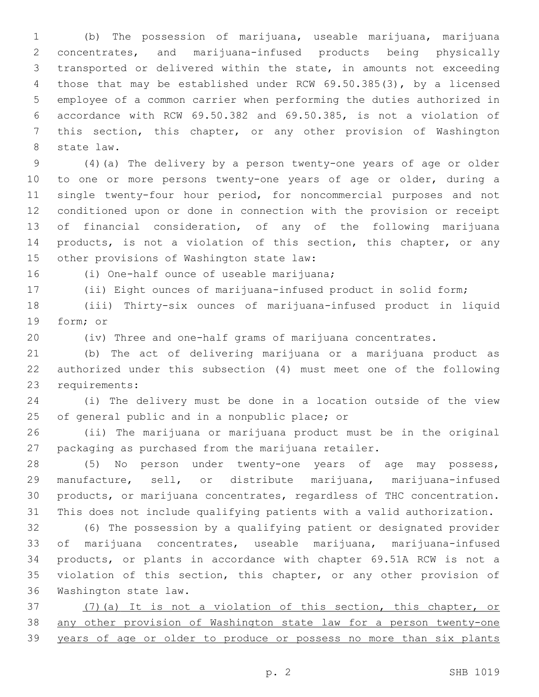(b) The possession of marijuana, useable marijuana, marijuana concentrates, and marijuana-infused products being physically transported or delivered within the state, in amounts not exceeding those that may be established under RCW 69.50.385(3), by a licensed employee of a common carrier when performing the duties authorized in accordance with RCW 69.50.382 and 69.50.385, is not a violation of this section, this chapter, or any other provision of Washington 8 state law.

 (4)(a) The delivery by a person twenty-one years of age or older to one or more persons twenty-one years of age or older, during a single twenty-four hour period, for noncommercial purposes and not conditioned upon or done in connection with the provision or receipt of financial consideration, of any of the following marijuana 14 products, is not a violation of this section, this chapter, or any 15 other provisions of Washington state law:

16 (i) One-half ounce of useable marijuana;

(ii) Eight ounces of marijuana-infused product in solid form;

 (iii) Thirty-six ounces of marijuana-infused product in liquid 19 form; or

(iv) Three and one-half grams of marijuana concentrates.

 (b) The act of delivering marijuana or a marijuana product as authorized under this subsection (4) must meet one of the following 23 requirements:

 (i) The delivery must be done in a location outside of the view 25 of general public and in a nonpublic place; or

 (ii) The marijuana or marijuana product must be in the original packaging as purchased from the marijuana retailer.

 (5) No person under twenty-one years of age may possess, manufacture, sell, or distribute marijuana, marijuana-infused products, or marijuana concentrates, regardless of THC concentration. This does not include qualifying patients with a valid authorization.

 (6) The possession by a qualifying patient or designated provider of marijuana concentrates, useable marijuana, marijuana-infused products, or plants in accordance with chapter 69.51A RCW is not a 35 violation of this section, this chapter, or any other provision of 36 Washington state law.

 (7)(a) It is not a violation of this section, this chapter, or any other provision of Washington state law for a person twenty-one years of age or older to produce or possess no more than six plants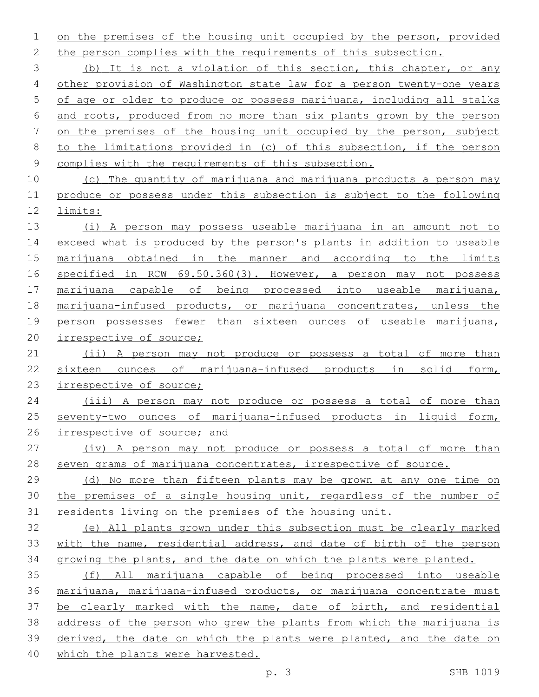on the premises of the housing unit occupied by the person, provided 2 the person complies with the requirements of this subsection.

 (b) It is not a violation of this section, this chapter, or any other provision of Washington state law for a person twenty-one years of age or older to produce or possess marijuana, including all stalks and roots, produced from no more than six plants grown by the person on the premises of the housing unit occupied by the person, subject to the limitations provided in (c) of this subsection, if the person complies with the requirements of this subsection.

 (c) The quantity of marijuana and marijuana products a person may produce or possess under this subsection is subject to the following limits:

 (i) A person may possess useable marijuana in an amount not to 14 exceed what is produced by the person's plants in addition to useable marijuana obtained in the manner and according to the limits specified in RCW 69.50.360(3). However, a person may not possess marijuana capable of being processed into useable marijuana, 18 marijuana-infused products, or marijuana concentrates, unless the person possesses fewer than sixteen ounces of useable marijuana, irrespective of source;

 (ii) A person may not produce or possess a total of more than sixteen ounces of marijuana-infused products in solid form, 23 irrespective of source;

 (iii) A person may not produce or possess a total of more than seventy-two ounces of marijuana-infused products in liquid form, 26 irrespective of source; and

 (iv) A person may not produce or possess a total of more than seven grams of marijuana concentrates, irrespective of source.

 (d) No more than fifteen plants may be grown at any one time on the premises of a single housing unit, regardless of the number of residents living on the premises of the housing unit.

 (e) All plants grown under this subsection must be clearly marked with the name, residential address, and date of birth of the person growing the plants, and the date on which the plants were planted.

 (f) All marijuana capable of being processed into useable marijuana, marijuana-infused products, or marijuana concentrate must be clearly marked with the name, date of birth, and residential address of the person who grew the plants from which the marijuana is derived, the date on which the plants were planted, and the date on which the plants were harvested.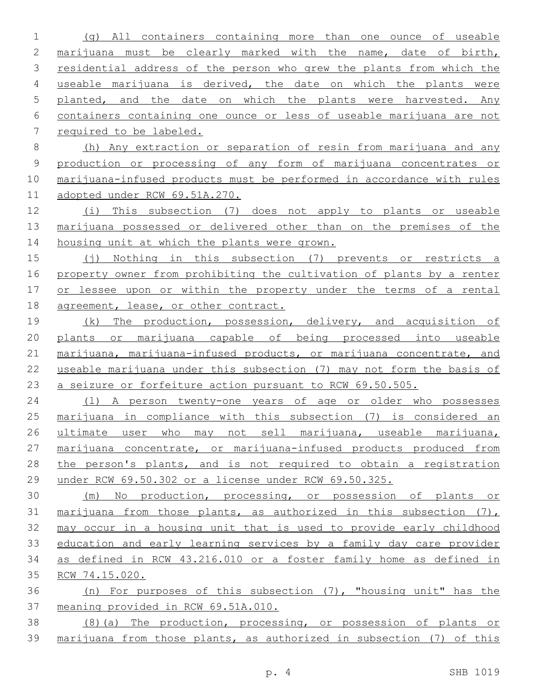(g) All containers containing more than one ounce of useable marijuana must be clearly marked with the name, date of birth, residential address of the person who grew the plants from which the useable marijuana is derived, the date on which the plants were planted, and the date on which the plants were harvested. Any containers containing one ounce or less of useable marijuana are not required to be labeled.

 (h) Any extraction or separation of resin from marijuana and any production or processing of any form of marijuana concentrates or marijuana-infused products must be performed in accordance with rules adopted under RCW 69.51A.270.

 (i) This subsection (7) does not apply to plants or useable marijuana possessed or delivered other than on the premises of the 14 housing unit at which the plants were grown.

 (j) Nothing in this subsection (7) prevents or restricts a property owner from prohibiting the cultivation of plants by a renter or lessee upon or within the property under the terms of a rental 18 agreement, lease, or other contract.

19 (k) The production, possession, delivery, and acquisition of plants or marijuana capable of being processed into useable 21 marijuana, marijuana-infused products, or marijuana concentrate, and useable marijuana under this subsection (7) may not form the basis of a seizure or forfeiture action pursuant to RCW 69.50.505.

 (l) A person twenty-one years of age or older who possesses marijuana in compliance with this subsection (7) is considered an ultimate user who may not sell marijuana, useable marijuana, marijuana concentrate, or marijuana-infused products produced from 28 the person's plants, and is not required to obtain a registration under RCW 69.50.302 or a license under RCW 69.50.325.

 (m) No production, processing, or possession of plants or 31 marijuana from those plants, as authorized in this subsection  $(7)$ , may occur in a housing unit that is used to provide early childhood education and early learning services by a family day care provider as defined in RCW 43.216.010 or a foster family home as defined in RCW 74.15.020.

 (n) For purposes of this subsection (7), "housing unit" has the meaning provided in RCW 69.51A.010.

 (8)(a) The production, processing, or possession of plants or marijuana from those plants, as authorized in subsection (7) of this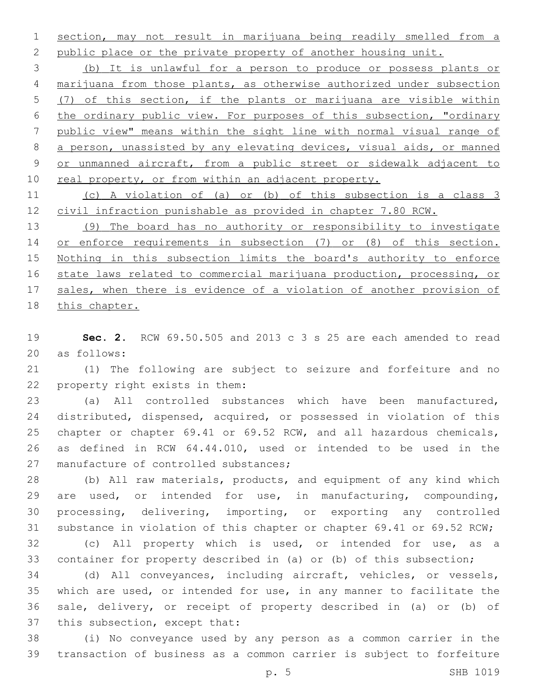section, may not result in marijuana being readily smelled from a 2 public place or the private property of another housing unit.

 (b) It is unlawful for a person to produce or possess plants or marijuana from those plants, as otherwise authorized under subsection (7) of this section, if the plants or marijuana are visible within the ordinary public view. For purposes of this subsection, "ordinary public view" means within the sight line with normal visual range of a person, unassisted by any elevating devices, visual aids, or manned or unmanned aircraft, from a public street or sidewalk adjacent to 10 real property, or from within an adjacent property.

 (c) A violation of (a) or (b) of this subsection is a class 3 civil infraction punishable as provided in chapter 7.80 RCW.

 (9) The board has no authority or responsibility to investigate 14 or enforce requirements in subsection (7) or (8) of this section. Nothing in this subsection limits the board's authority to enforce state laws related to commercial marijuana production, processing, or sales, when there is evidence of a violation of another provision of this chapter.

 **Sec. 2.** RCW 69.50.505 and 2013 c 3 s 25 are each amended to read 20 as follows:

 (1) The following are subject to seizure and forfeiture and no 22 property right exists in them:

 (a) All controlled substances which have been manufactured, distributed, dispensed, acquired, or possessed in violation of this chapter or chapter 69.41 or 69.52 RCW, and all hazardous chemicals, as defined in RCW 64.44.010, used or intended to be used in the 27 manufacture of controlled substances;

 (b) All raw materials, products, and equipment of any kind which are used, or intended for use, in manufacturing, compounding, processing, delivering, importing, or exporting any controlled substance in violation of this chapter or chapter 69.41 or 69.52 RCW;

 (c) All property which is used, or intended for use, as a container for property described in (a) or (b) of this subsection;

 (d) All conveyances, including aircraft, vehicles, or vessels, which are used, or intended for use, in any manner to facilitate the sale, delivery, or receipt of property described in (a) or (b) of 37 this subsection, except that:

 (i) No conveyance used by any person as a common carrier in the transaction of business as a common carrier is subject to forfeiture

p. 5 SHB 1019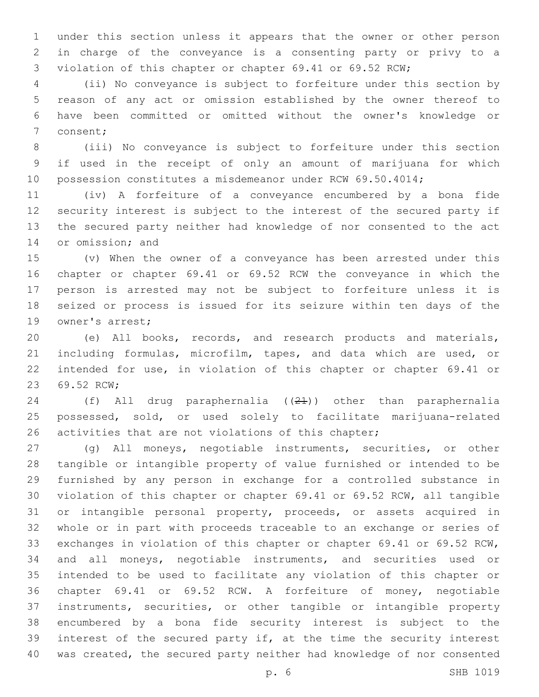under this section unless it appears that the owner or other person in charge of the conveyance is a consenting party or privy to a violation of this chapter or chapter 69.41 or 69.52 RCW;

 (ii) No conveyance is subject to forfeiture under this section by reason of any act or omission established by the owner thereof to have been committed or omitted without the owner's knowledge or 7 consent;

 (iii) No conveyance is subject to forfeiture under this section if used in the receipt of only an amount of marijuana for which possession constitutes a misdemeanor under RCW 69.50.4014;

 (iv) A forfeiture of a conveyance encumbered by a bona fide security interest is subject to the interest of the secured party if the secured party neither had knowledge of nor consented to the act 14 or omission; and

 (v) When the owner of a conveyance has been arrested under this chapter or chapter 69.41 or 69.52 RCW the conveyance in which the person is arrested may not be subject to forfeiture unless it is seized or process is issued for its seizure within ten days of the 19 owner's arrest;

 (e) All books, records, and research products and materials, including formulas, microfilm, tapes, and data which are used, or intended for use, in violation of this chapter or chapter 69.41 or 23 69.52 RCW;

 (f) All drug paraphernalia ((21)) other than paraphernalia possessed, sold, or used solely to facilitate marijuana-related 26 activities that are not violations of this chapter;

 (g) All moneys, negotiable instruments, securities, or other tangible or intangible property of value furnished or intended to be furnished by any person in exchange for a controlled substance in violation of this chapter or chapter 69.41 or 69.52 RCW, all tangible or intangible personal property, proceeds, or assets acquired in whole or in part with proceeds traceable to an exchange or series of exchanges in violation of this chapter or chapter 69.41 or 69.52 RCW, and all moneys, negotiable instruments, and securities used or intended to be used to facilitate any violation of this chapter or chapter 69.41 or 69.52 RCW. A forfeiture of money, negotiable instruments, securities, or other tangible or intangible property encumbered by a bona fide security interest is subject to the interest of the secured party if, at the time the security interest was created, the secured party neither had knowledge of nor consented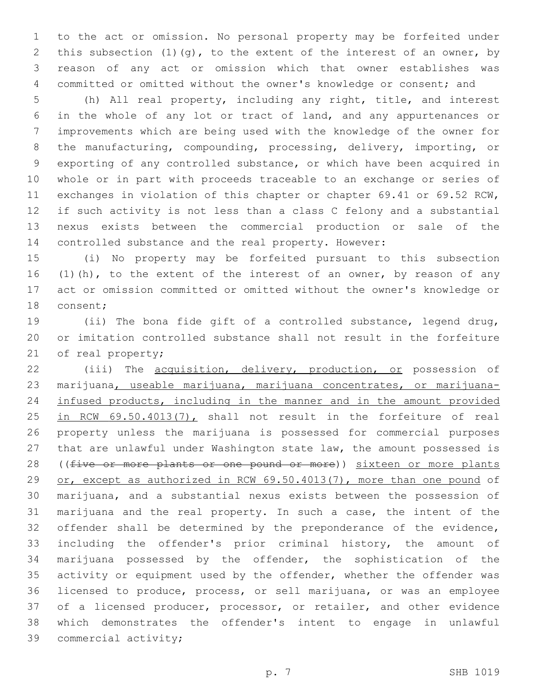to the act or omission. No personal property may be forfeited under this subsection (1)(g), to the extent of the interest of an owner, by reason of any act or omission which that owner establishes was committed or omitted without the owner's knowledge or consent; and

 (h) All real property, including any right, title, and interest in the whole of any lot or tract of land, and any appurtenances or improvements which are being used with the knowledge of the owner for the manufacturing, compounding, processing, delivery, importing, or exporting of any controlled substance, or which have been acquired in whole or in part with proceeds traceable to an exchange or series of exchanges in violation of this chapter or chapter 69.41 or 69.52 RCW, if such activity is not less than a class C felony and a substantial nexus exists between the commercial production or sale of the controlled substance and the real property. However:

 (i) No property may be forfeited pursuant to this subsection 16 (1)(h), to the extent of the interest of an owner, by reason of any act or omission committed or omitted without the owner's knowledge or 18 consent;

 (ii) The bona fide gift of a controlled substance, legend drug, or imitation controlled substance shall not result in the forfeiture 21 of real property;

22 (iii) The acquisition, delivery, production, or possession of 23 marijuana, useable marijuana, marijuana concentrates, or marijuana- infused products, including in the manner and in the amount provided 25 in RCW 69.50.4013(7), shall not result in the forfeiture of real property unless the marijuana is possessed for commercial purposes that are unlawful under Washington state law, the amount possessed is 28 ((five or more plants or one pound or more)) sixteen or more plants or, except as authorized in RCW 69.50.4013(7), more than one pound of marijuana, and a substantial nexus exists between the possession of marijuana and the real property. In such a case, the intent of the offender shall be determined by the preponderance of the evidence, including the offender's prior criminal history, the amount of marijuana possessed by the offender, the sophistication of the activity or equipment used by the offender, whether the offender was licensed to produce, process, or sell marijuana, or was an employee 37 of a licensed producer, processor, or retailer, and other evidence which demonstrates the offender's intent to engage in unlawful 39 commercial activity;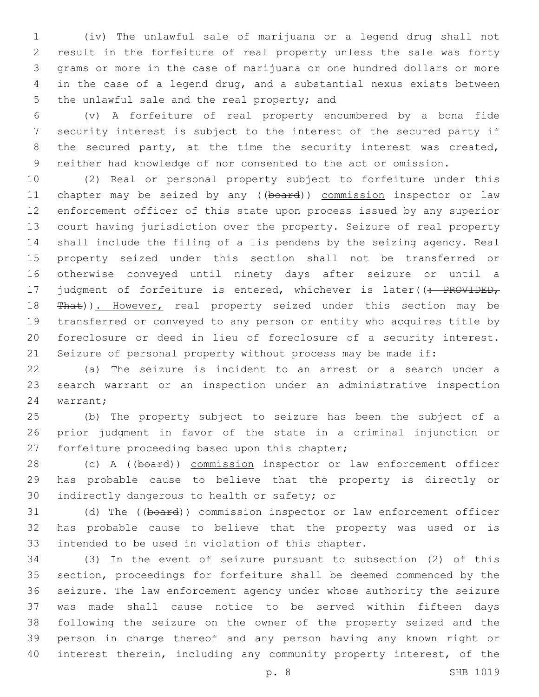(iv) The unlawful sale of marijuana or a legend drug shall not result in the forfeiture of real property unless the sale was forty grams or more in the case of marijuana or one hundred dollars or more in the case of a legend drug, and a substantial nexus exists between 5 the unlawful sale and the real property; and

 (v) A forfeiture of real property encumbered by a bona fide security interest is subject to the interest of the secured party if 8 the secured party, at the time the security interest was created, neither had knowledge of nor consented to the act or omission.

 (2) Real or personal property subject to forfeiture under this 11 chapter may be seized by any ((board)) commission inspector or law enforcement officer of this state upon process issued by any superior court having jurisdiction over the property. Seizure of real property shall include the filing of a lis pendens by the seizing agency. Real property seized under this section shall not be transferred or otherwise conveyed until ninety days after seizure or until a 17 judgment of forfeiture is entered, whichever is later((: PROVIDED, 18 That)). However, real property seized under this section may be transferred or conveyed to any person or entity who acquires title by foreclosure or deed in lieu of foreclosure of a security interest. Seizure of personal property without process may be made if:

 (a) The seizure is incident to an arrest or a search under a search warrant or an inspection under an administrative inspection 24 warrant;

 (b) The property subject to seizure has been the subject of a prior judgment in favor of the state in a criminal injunction or 27 forfeiture proceeding based upon this chapter;

28 (c) A ((board)) commission inspector or law enforcement officer has probable cause to believe that the property is directly or 30 indirectly dangerous to health or safety; or

31 (d) The ((board)) commission inspector or law enforcement officer has probable cause to believe that the property was used or is 33 intended to be used in violation of this chapter.

 (3) In the event of seizure pursuant to subsection (2) of this section, proceedings for forfeiture shall be deemed commenced by the seizure. The law enforcement agency under whose authority the seizure was made shall cause notice to be served within fifteen days following the seizure on the owner of the property seized and the person in charge thereof and any person having any known right or interest therein, including any community property interest, of the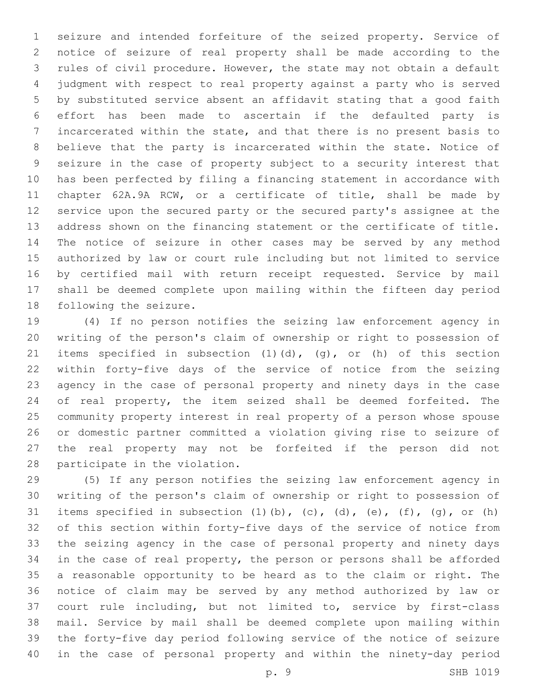seizure and intended forfeiture of the seized property. Service of notice of seizure of real property shall be made according to the rules of civil procedure. However, the state may not obtain a default judgment with respect to real property against a party who is served by substituted service absent an affidavit stating that a good faith effort has been made to ascertain if the defaulted party is incarcerated within the state, and that there is no present basis to believe that the party is incarcerated within the state. Notice of seizure in the case of property subject to a security interest that has been perfected by filing a financing statement in accordance with chapter 62A.9A RCW, or a certificate of title, shall be made by service upon the secured party or the secured party's assignee at the address shown on the financing statement or the certificate of title. The notice of seizure in other cases may be served by any method authorized by law or court rule including but not limited to service by certified mail with return receipt requested. Service by mail shall be deemed complete upon mailing within the fifteen day period 18 following the seizure.

 (4) If no person notifies the seizing law enforcement agency in writing of the person's claim of ownership or right to possession of items specified in subsection (1)(d), (g), or (h) of this section within forty-five days of the service of notice from the seizing agency in the case of personal property and ninety days in the case of real property, the item seized shall be deemed forfeited. The community property interest in real property of a person whose spouse or domestic partner committed a violation giving rise to seizure of the real property may not be forfeited if the person did not 28 participate in the violation.

 (5) If any person notifies the seizing law enforcement agency in writing of the person's claim of ownership or right to possession of 31 items specified in subsection  $(1)$   $(b)$ ,  $(c)$ ,  $(d)$ ,  $(e)$ ,  $(f)$ ,  $(g)$ , or  $(h)$  of this section within forty-five days of the service of notice from the seizing agency in the case of personal property and ninety days in the case of real property, the person or persons shall be afforded a reasonable opportunity to be heard as to the claim or right. The notice of claim may be served by any method authorized by law or court rule including, but not limited to, service by first-class mail. Service by mail shall be deemed complete upon mailing within the forty-five day period following service of the notice of seizure in the case of personal property and within the ninety-day period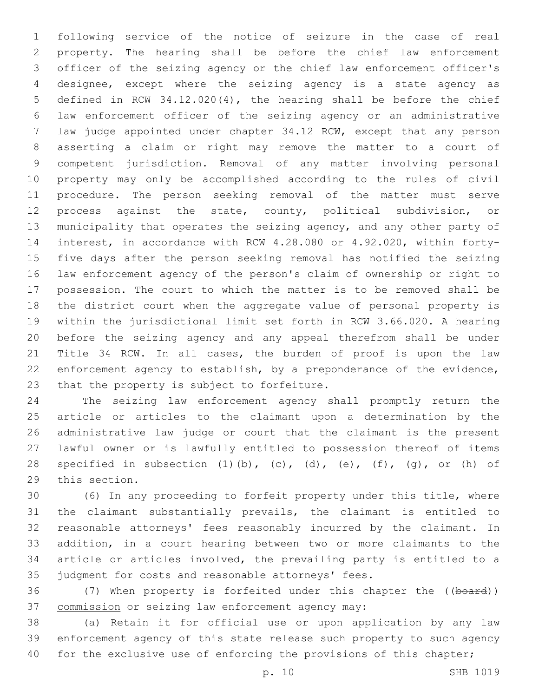following service of the notice of seizure in the case of real property. The hearing shall be before the chief law enforcement officer of the seizing agency or the chief law enforcement officer's designee, except where the seizing agency is a state agency as defined in RCW 34.12.020(4), the hearing shall be before the chief law enforcement officer of the seizing agency or an administrative law judge appointed under chapter 34.12 RCW, except that any person asserting a claim or right may remove the matter to a court of competent jurisdiction. Removal of any matter involving personal property may only be accomplished according to the rules of civil procedure. The person seeking removal of the matter must serve process against the state, county, political subdivision, or municipality that operates the seizing agency, and any other party of interest, in accordance with RCW 4.28.080 or 4.92.020, within forty- five days after the person seeking removal has notified the seizing law enforcement agency of the person's claim of ownership or right to possession. The court to which the matter is to be removed shall be the district court when the aggregate value of personal property is within the jurisdictional limit set forth in RCW 3.66.020. A hearing before the seizing agency and any appeal therefrom shall be under Title 34 RCW. In all cases, the burden of proof is upon the law enforcement agency to establish, by a preponderance of the evidence, 23 that the property is subject to forfeiture.

 The seizing law enforcement agency shall promptly return the article or articles to the claimant upon a determination by the administrative law judge or court that the claimant is the present lawful owner or is lawfully entitled to possession thereof of items 28 specified in subsection  $(1)$  (b),  $(c)$ ,  $(d)$ ,  $(e)$ ,  $(f)$ ,  $(g)$ , or  $(h)$  of 29 this section.

 (6) In any proceeding to forfeit property under this title, where the claimant substantially prevails, the claimant is entitled to reasonable attorneys' fees reasonably incurred by the claimant. In addition, in a court hearing between two or more claimants to the article or articles involved, the prevailing party is entitled to a judgment for costs and reasonable attorneys' fees.

36 (7) When property is forfeited under this chapter the ((board)) 37 commission or seizing law enforcement agency may:

 (a) Retain it for official use or upon application by any law enforcement agency of this state release such property to such agency 40 for the exclusive use of enforcing the provisions of this chapter;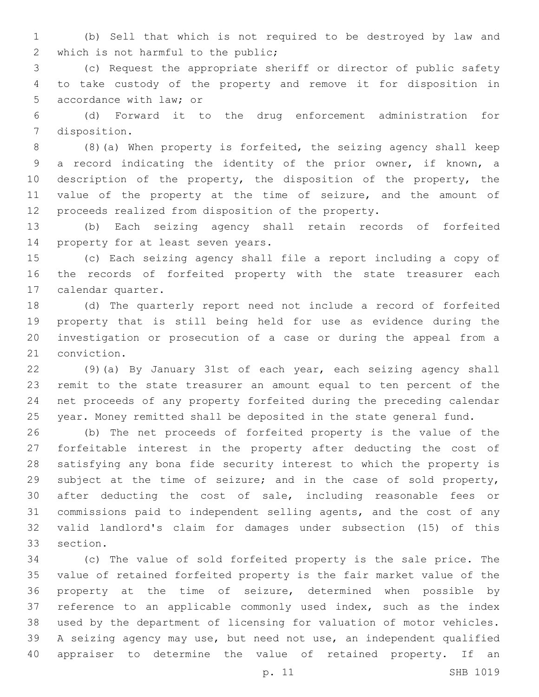(b) Sell that which is not required to be destroyed by law and 2 which is not harmful to the public;

 (c) Request the appropriate sheriff or director of public safety to take custody of the property and remove it for disposition in 5 accordance with law; or

 (d) Forward it to the drug enforcement administration for 7 disposition.

 (8)(a) When property is forfeited, the seizing agency shall keep a record indicating the identity of the prior owner, if known, a 10 description of the property, the disposition of the property, the value of the property at the time of seizure, and the amount of proceeds realized from disposition of the property.

 (b) Each seizing agency shall retain records of forfeited 14 property for at least seven years.

 (c) Each seizing agency shall file a report including a copy of the records of forfeited property with the state treasurer each 17 calendar quarter.

 (d) The quarterly report need not include a record of forfeited property that is still being held for use as evidence during the investigation or prosecution of a case or during the appeal from a 21 conviction.

 (9)(a) By January 31st of each year, each seizing agency shall remit to the state treasurer an amount equal to ten percent of the net proceeds of any property forfeited during the preceding calendar year. Money remitted shall be deposited in the state general fund.

 (b) The net proceeds of forfeited property is the value of the forfeitable interest in the property after deducting the cost of satisfying any bona fide security interest to which the property is subject at the time of seizure; and in the case of sold property, after deducting the cost of sale, including reasonable fees or commissions paid to independent selling agents, and the cost of any valid landlord's claim for damages under subsection (15) of this 33 section.

 (c) The value of sold forfeited property is the sale price. The value of retained forfeited property is the fair market value of the property at the time of seizure, determined when possible by reference to an applicable commonly used index, such as the index used by the department of licensing for valuation of motor vehicles. A seizing agency may use, but need not use, an independent qualified appraiser to determine the value of retained property. If an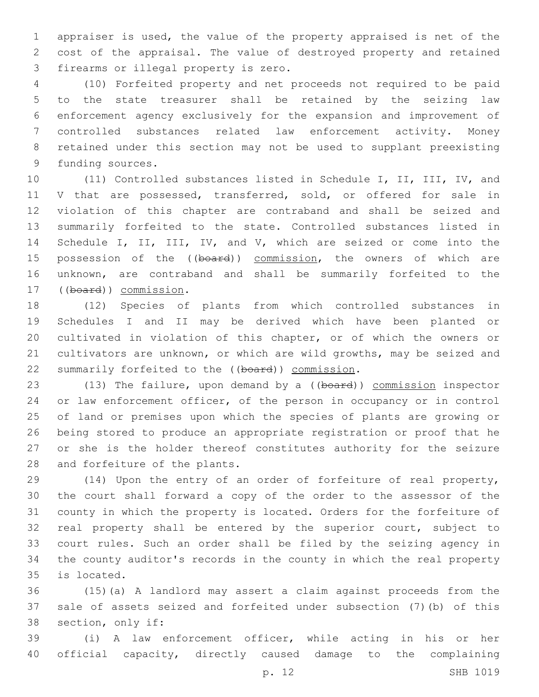appraiser is used, the value of the property appraised is net of the cost of the appraisal. The value of destroyed property and retained 3 firearms or illegal property is zero.

 (10) Forfeited property and net proceeds not required to be paid to the state treasurer shall be retained by the seizing law enforcement agency exclusively for the expansion and improvement of controlled substances related law enforcement activity. Money retained under this section may not be used to supplant preexisting 9 funding sources.

 (11) Controlled substances listed in Schedule I, II, III, IV, and 11 V that are possessed, transferred, sold, or offered for sale in violation of this chapter are contraband and shall be seized and summarily forfeited to the state. Controlled substances listed in 14 Schedule I, II, III, IV, and V, which are seized or come into the 15 possession of the ((board)) commission, the owners of which are unknown, are contraband and shall be summarily forfeited to the 17 ((board)) commission.

 (12) Species of plants from which controlled substances in Schedules I and II may be derived which have been planted or cultivated in violation of this chapter, or of which the owners or cultivators are unknown, or which are wild growths, may be seized and 22 summarily forfeited to the ((board)) commission.

23 (13) The failure, upon demand by a ((board)) commission inspector or law enforcement officer, of the person in occupancy or in control of land or premises upon which the species of plants are growing or being stored to produce an appropriate registration or proof that he or she is the holder thereof constitutes authority for the seizure 28 and forfeiture of the plants.

 (14) Upon the entry of an order of forfeiture of real property, the court shall forward a copy of the order to the assessor of the county in which the property is located. Orders for the forfeiture of real property shall be entered by the superior court, subject to court rules. Such an order shall be filed by the seizing agency in the county auditor's records in the county in which the real property 35 is located.

 (15)(a) A landlord may assert a claim against proceeds from the sale of assets seized and forfeited under subsection (7)(b) of this 38 section, only if:

 (i) A law enforcement officer, while acting in his or her official capacity, directly caused damage to the complaining

p. 12 SHB 1019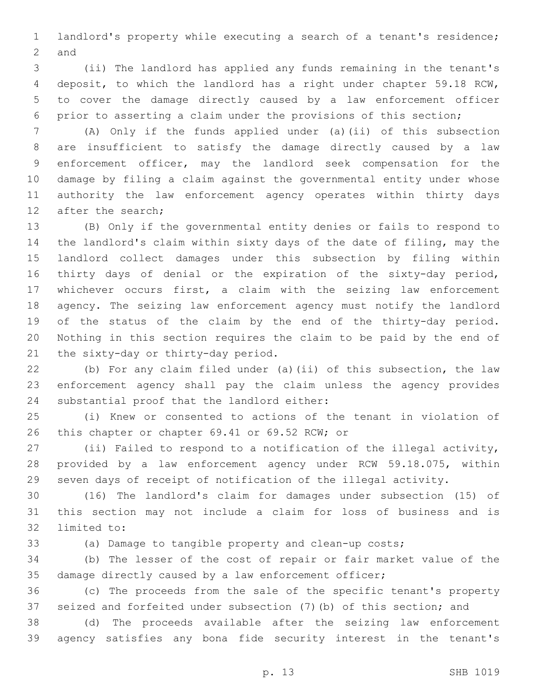landlord's property while executing a search of a tenant's residence; 2 and

 (ii) The landlord has applied any funds remaining in the tenant's deposit, to which the landlord has a right under chapter 59.18 RCW, to cover the damage directly caused by a law enforcement officer prior to asserting a claim under the provisions of this section;

 (A) Only if the funds applied under (a)(ii) of this subsection are insufficient to satisfy the damage directly caused by a law enforcement officer, may the landlord seek compensation for the damage by filing a claim against the governmental entity under whose authority the law enforcement agency operates within thirty days 12 after the search;

 (B) Only if the governmental entity denies or fails to respond to the landlord's claim within sixty days of the date of filing, may the landlord collect damages under this subsection by filing within thirty days of denial or the expiration of the sixty-day period, whichever occurs first, a claim with the seizing law enforcement agency. The seizing law enforcement agency must notify the landlord of the status of the claim by the end of the thirty-day period. Nothing in this section requires the claim to be paid by the end of 21 the sixty-day or thirty-day period.

 (b) For any claim filed under (a)(ii) of this subsection, the law enforcement agency shall pay the claim unless the agency provides 24 substantial proof that the landlord either:

 (i) Knew or consented to actions of the tenant in violation of 26 this chapter or chapter 69.41 or 69.52 RCW; or

 (ii) Failed to respond to a notification of the illegal activity, provided by a law enforcement agency under RCW 59.18.075, within seven days of receipt of notification of the illegal activity.

 (16) The landlord's claim for damages under subsection (15) of this section may not include a claim for loss of business and is 32 limited to:

(a) Damage to tangible property and clean-up costs;

 (b) The lesser of the cost of repair or fair market value of the damage directly caused by a law enforcement officer;

 (c) The proceeds from the sale of the specific tenant's property seized and forfeited under subsection (7)(b) of this section; and

 (d) The proceeds available after the seizing law enforcement agency satisfies any bona fide security interest in the tenant's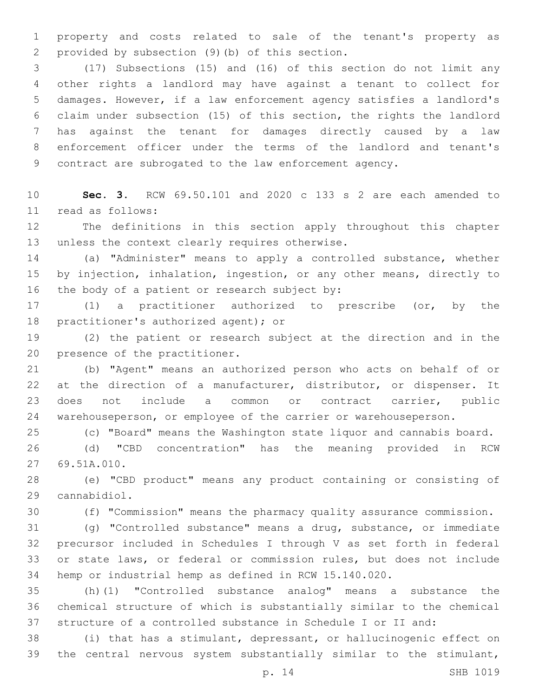property and costs related to sale of the tenant's property as provided by subsection (9)(b) of this section.2

 (17) Subsections (15) and (16) of this section do not limit any other rights a landlord may have against a tenant to collect for damages. However, if a law enforcement agency satisfies a landlord's claim under subsection (15) of this section, the rights the landlord has against the tenant for damages directly caused by a law enforcement officer under the terms of the landlord and tenant's contract are subrogated to the law enforcement agency.

 **Sec. 3.** RCW 69.50.101 and 2020 c 133 s 2 are each amended to read as follows:11

 The definitions in this section apply throughout this chapter 13 unless the context clearly requires otherwise.

 (a) "Administer" means to apply a controlled substance, whether by injection, inhalation, ingestion, or any other means, directly to 16 the body of a patient or research subject by:

 (1) a practitioner authorized to prescribe (or, by the 18 practitioner's authorized agent); or

 (2) the patient or research subject at the direction and in the 20 presence of the practitioner.

 (b) "Agent" means an authorized person who acts on behalf of or at the direction of a manufacturer, distributor, or dispenser. It does not include a common or contract carrier, public warehouseperson, or employee of the carrier or warehouseperson.

(c) "Board" means the Washington state liquor and cannabis board.

 (d) "CBD concentration" has the meaning provided in RCW 27 69.51A.010.

 (e) "CBD product" means any product containing or consisting of cannabidiol.29

(f) "Commission" means the pharmacy quality assurance commission.

 (g) "Controlled substance" means a drug, substance, or immediate precursor included in Schedules I through V as set forth in federal or state laws, or federal or commission rules, but does not include hemp or industrial hemp as defined in RCW 15.140.020.

 (h)(1) "Controlled substance analog" means a substance the chemical structure of which is substantially similar to the chemical structure of a controlled substance in Schedule I or II and:

 (i) that has a stimulant, depressant, or hallucinogenic effect on the central nervous system substantially similar to the stimulant,

p. 14 SHB 1019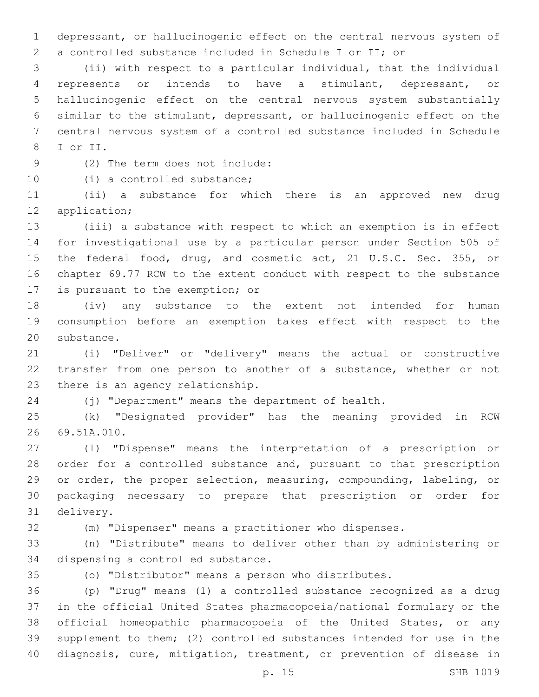depressant, or hallucinogenic effect on the central nervous system of a controlled substance included in Schedule I or II; or

 (ii) with respect to a particular individual, that the individual represents or intends to have a stimulant, depressant, or hallucinogenic effect on the central nervous system substantially similar to the stimulant, depressant, or hallucinogenic effect on the central nervous system of a controlled substance included in Schedule 8 I or II.

(2) The term does not include:9

10 (i) a controlled substance;

 (ii) a substance for which there is an approved new drug 12 application;

 (iii) a substance with respect to which an exemption is in effect for investigational use by a particular person under Section 505 of 15 the federal food, drug, and cosmetic act, 21 U.S.C. Sec. 355, or chapter 69.77 RCW to the extent conduct with respect to the substance 17 is pursuant to the exemption; or

 (iv) any substance to the extent not intended for human consumption before an exemption takes effect with respect to the 20 substance.

 (i) "Deliver" or "delivery" means the actual or constructive transfer from one person to another of a substance, whether or not 23 there is an agency relationship.

(j) "Department" means the department of health.

 (k) "Designated provider" has the meaning provided in RCW 26 69.51A.010.

 (l) "Dispense" means the interpretation of a prescription or order for a controlled substance and, pursuant to that prescription or order, the proper selection, measuring, compounding, labeling, or packaging necessary to prepare that prescription or order for 31 delivery.

(m) "Dispenser" means a practitioner who dispenses.

 (n) "Distribute" means to deliver other than by administering or 34 dispensing a controlled substance.

(o) "Distributor" means a person who distributes.

 (p) "Drug" means (1) a controlled substance recognized as a drug in the official United States pharmacopoeia/national formulary or the official homeopathic pharmacopoeia of the United States, or any supplement to them; (2) controlled substances intended for use in the diagnosis, cure, mitigation, treatment, or prevention of disease in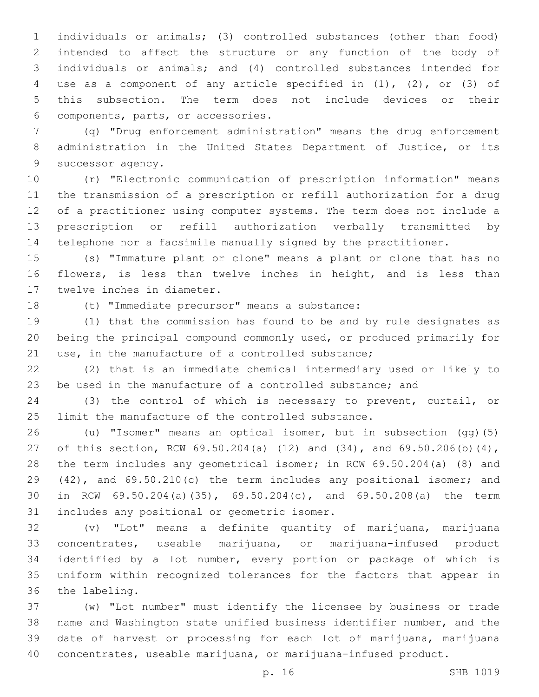individuals or animals; (3) controlled substances (other than food) intended to affect the structure or any function of the body of individuals or animals; and (4) controlled substances intended for use as a component of any article specified in (1), (2), or (3) of this subsection. The term does not include devices or their components, parts, or accessories.6

 (q) "Drug enforcement administration" means the drug enforcement administration in the United States Department of Justice, or its 9 successor agency.

 (r) "Electronic communication of prescription information" means the transmission of a prescription or refill authorization for a drug of a practitioner using computer systems. The term does not include a prescription or refill authorization verbally transmitted by telephone nor a facsimile manually signed by the practitioner.

 (s) "Immature plant or clone" means a plant or clone that has no 16 flowers, is less than twelve inches in height, and is less than 17 twelve inches in diameter.

18 (t) "Immediate precursor" means a substance:

 (1) that the commission has found to be and by rule designates as being the principal compound commonly used, or produced primarily for use, in the manufacture of a controlled substance;

 (2) that is an immediate chemical intermediary used or likely to be used in the manufacture of a controlled substance; and

 (3) the control of which is necessary to prevent, curtail, or limit the manufacture of the controlled substance.

 (u) "Isomer" means an optical isomer, but in subsection (gg)(5) of this section, RCW 69.50.204(a) (12) and (34), and 69.50.206(b)(4), the term includes any geometrical isomer; in RCW 69.50.204(a) (8) and (42), and 69.50.210(c) the term includes any positional isomer; and in RCW 69.50.204(a)(35), 69.50.204(c), and 69.50.208(a) the term 31 includes any positional or geometric isomer.

 (v) "Lot" means a definite quantity of marijuana, marijuana concentrates, useable marijuana, or marijuana-infused product identified by a lot number, every portion or package of which is uniform within recognized tolerances for the factors that appear in 36 the labeling.

 (w) "Lot number" must identify the licensee by business or trade name and Washington state unified business identifier number, and the date of harvest or processing for each lot of marijuana, marijuana concentrates, useable marijuana, or marijuana-infused product.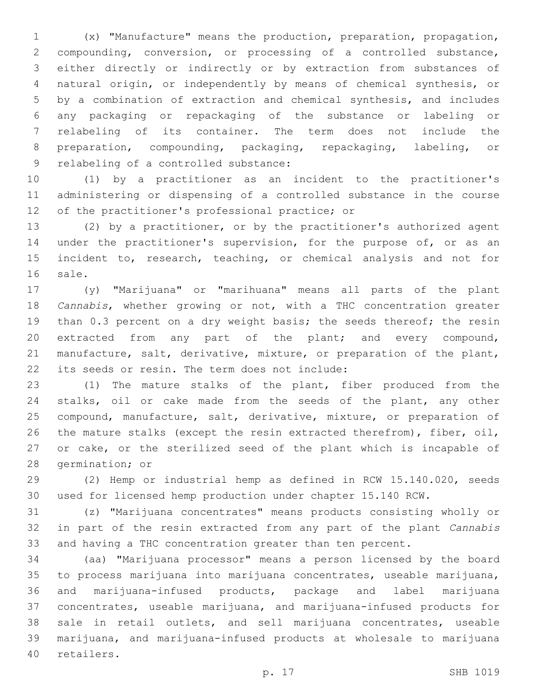(x) "Manufacture" means the production, preparation, propagation, compounding, conversion, or processing of a controlled substance, either directly or indirectly or by extraction from substances of natural origin, or independently by means of chemical synthesis, or by a combination of extraction and chemical synthesis, and includes any packaging or repackaging of the substance or labeling or relabeling of its container. The term does not include the preparation, compounding, packaging, repackaging, labeling, or 9 relabeling of a controlled substance:

 (1) by a practitioner as an incident to the practitioner's administering or dispensing of a controlled substance in the course 12 of the practitioner's professional practice; or

 (2) by a practitioner, or by the practitioner's authorized agent 14 under the practitioner's supervision, for the purpose of, or as an incident to, research, teaching, or chemical analysis and not for 16 sale.

 (y) "Marijuana" or "marihuana" means all parts of the plant *Cannabis*, whether growing or not, with a THC concentration greater than 0.3 percent on a dry weight basis; the seeds thereof; the resin extracted from any part of the plant; and every compound, manufacture, salt, derivative, mixture, or preparation of the plant, 22 its seeds or resin. The term does not include:

 (1) The mature stalks of the plant, fiber produced from the stalks, oil or cake made from the seeds of the plant, any other compound, manufacture, salt, derivative, mixture, or preparation of the mature stalks (except the resin extracted therefrom), fiber, oil, or cake, or the sterilized seed of the plant which is incapable of 28 germination; or

 (2) Hemp or industrial hemp as defined in RCW 15.140.020, seeds used for licensed hemp production under chapter 15.140 RCW.

 (z) "Marijuana concentrates" means products consisting wholly or in part of the resin extracted from any part of the plant *Cannabis*  and having a THC concentration greater than ten percent.

 (aa) "Marijuana processor" means a person licensed by the board to process marijuana into marijuana concentrates, useable marijuana, and marijuana-infused products, package and label marijuana concentrates, useable marijuana, and marijuana-infused products for sale in retail outlets, and sell marijuana concentrates, useable marijuana, and marijuana-infused products at wholesale to marijuana 40 retailers.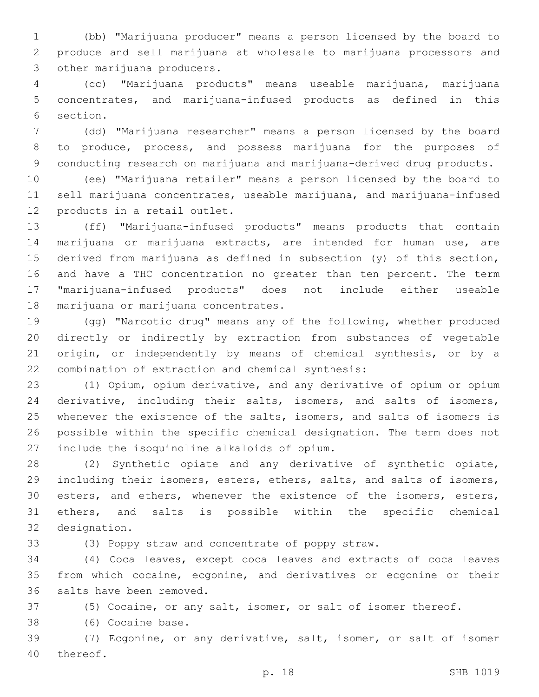(bb) "Marijuana producer" means a person licensed by the board to produce and sell marijuana at wholesale to marijuana processors and 3 other marijuana producers.

 (cc) "Marijuana products" means useable marijuana, marijuana concentrates, and marijuana-infused products as defined in this 6 section.

 (dd) "Marijuana researcher" means a person licensed by the board to produce, process, and possess marijuana for the purposes of 9 conducting research on marijuana and marijuana-derived drug products.

 (ee) "Marijuana retailer" means a person licensed by the board to sell marijuana concentrates, useable marijuana, and marijuana-infused 12 products in a retail outlet.

 (ff) "Marijuana-infused products" means products that contain marijuana or marijuana extracts, are intended for human use, are derived from marijuana as defined in subsection (y) of this section, and have a THC concentration no greater than ten percent. The term "marijuana-infused products" does not include either useable 18 marijuana or marijuana concentrates.

 (gg) "Narcotic drug" means any of the following, whether produced directly or indirectly by extraction from substances of vegetable origin, or independently by means of chemical synthesis, or by a 22 combination of extraction and chemical synthesis:

 (1) Opium, opium derivative, and any derivative of opium or opium derivative, including their salts, isomers, and salts of isomers, 25 whenever the existence of the salts, isomers, and salts of isomers is possible within the specific chemical designation. The term does not 27 include the isoquinoline alkaloids of opium.

 (2) Synthetic opiate and any derivative of synthetic opiate, 29 including their isomers, esters, ethers, salts, and salts of isomers, 30 esters, and ethers, whenever the existence of the isomers, esters, ethers, and salts is possible within the specific chemical 32 designation.

(3) Poppy straw and concentrate of poppy straw.

 (4) Coca leaves, except coca leaves and extracts of coca leaves from which cocaine, ecgonine, and derivatives or ecgonine or their 36 salts have been removed.

(5) Cocaine, or any salt, isomer, or salt of isomer thereof.

38 (6) Cocaine base.

 (7) Ecgonine, or any derivative, salt, isomer, or salt of isomer 40 thereof.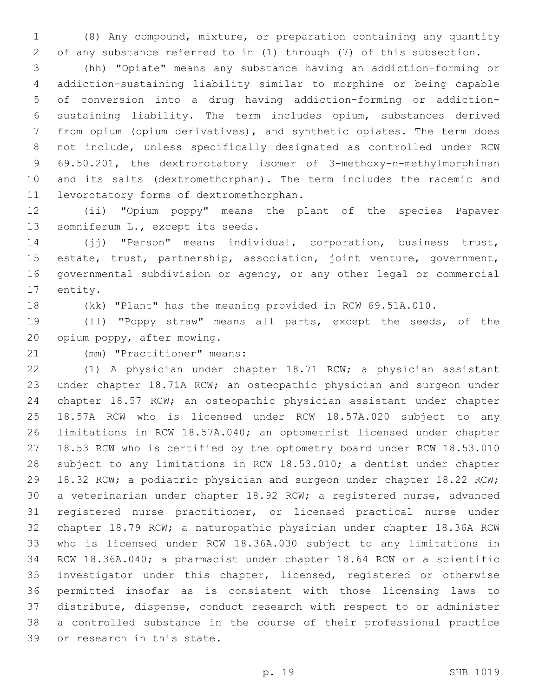(8) Any compound, mixture, or preparation containing any quantity of any substance referred to in (1) through (7) of this subsection.

 (hh) "Opiate" means any substance having an addiction-forming or addiction-sustaining liability similar to morphine or being capable of conversion into a drug having addiction-forming or addiction- sustaining liability. The term includes opium, substances derived from opium (opium derivatives), and synthetic opiates. The term does not include, unless specifically designated as controlled under RCW 69.50.201, the dextrorotatory isomer of 3-methoxy-n-methylmorphinan and its salts (dextromethorphan). The term includes the racemic and 11 levorotatory forms of dextromethorphan.

 (ii) "Opium poppy" means the plant of the species Papaver 13 somniferum L., except its seeds.

 (jj) "Person" means individual, corporation, business trust, estate, trust, partnership, association, joint venture, government, governmental subdivision or agency, or any other legal or commercial 17 entity.

(kk) "Plant" has the meaning provided in RCW 69.51A.010.

 (ll) "Poppy straw" means all parts, except the seeds, of the 20 opium poppy, after mowing.

21 (mm) "Practitioner" means:

 (1) A physician under chapter 18.71 RCW; a physician assistant under chapter 18.71A RCW; an osteopathic physician and surgeon under chapter 18.57 RCW; an osteopathic physician assistant under chapter 18.57A RCW who is licensed under RCW 18.57A.020 subject to any limitations in RCW 18.57A.040; an optometrist licensed under chapter 18.53 RCW who is certified by the optometry board under RCW 18.53.010 subject to any limitations in RCW 18.53.010; a dentist under chapter 18.32 RCW; a podiatric physician and surgeon under chapter 18.22 RCW; a veterinarian under chapter 18.92 RCW; a registered nurse, advanced registered nurse practitioner, or licensed practical nurse under chapter 18.79 RCW; a naturopathic physician under chapter 18.36A RCW who is licensed under RCW 18.36A.030 subject to any limitations in RCW 18.36A.040; a pharmacist under chapter 18.64 RCW or a scientific investigator under this chapter, licensed, registered or otherwise permitted insofar as is consistent with those licensing laws to distribute, dispense, conduct research with respect to or administer a controlled substance in the course of their professional practice 39 or research in this state.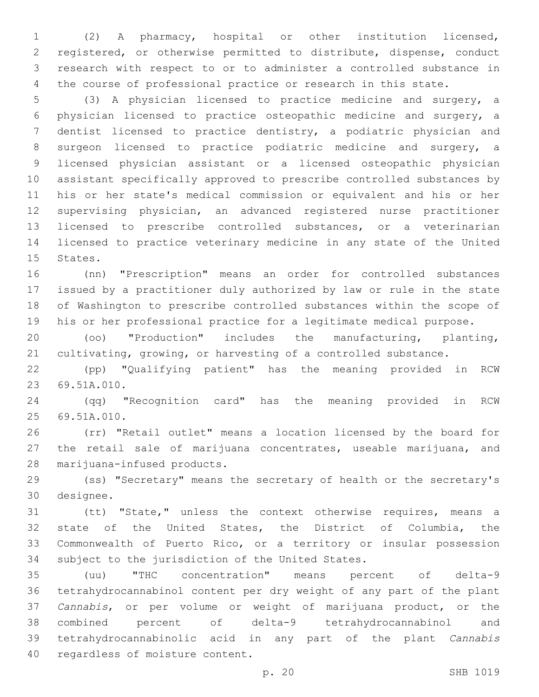(2) A pharmacy, hospital or other institution licensed, registered, or otherwise permitted to distribute, dispense, conduct research with respect to or to administer a controlled substance in the course of professional practice or research in this state.

 (3) A physician licensed to practice medicine and surgery, a physician licensed to practice osteopathic medicine and surgery, a dentist licensed to practice dentistry, a podiatric physician and surgeon licensed to practice podiatric medicine and surgery, a licensed physician assistant or a licensed osteopathic physician assistant specifically approved to prescribe controlled substances by his or her state's medical commission or equivalent and his or her supervising physician, an advanced registered nurse practitioner licensed to prescribe controlled substances, or a veterinarian licensed to practice veterinary medicine in any state of the United 15 States.

 (nn) "Prescription" means an order for controlled substances issued by a practitioner duly authorized by law or rule in the state of Washington to prescribe controlled substances within the scope of his or her professional practice for a legitimate medical purpose.

 (oo) "Production" includes the manufacturing, planting, cultivating, growing, or harvesting of a controlled substance.

 (pp) "Qualifying patient" has the meaning provided in RCW 23 69.51A.010.

 (qq) "Recognition card" has the meaning provided in RCW 69.51A.010.25

 (rr) "Retail outlet" means a location licensed by the board for 27 the retail sale of marijuana concentrates, useable marijuana, and 28 marijuana-infused products.

 (ss) "Secretary" means the secretary of health or the secretary's 30 designee.

 (tt) "State," unless the context otherwise requires, means a state of the United States, the District of Columbia, the Commonwealth of Puerto Rico, or a territory or insular possession 34 subject to the jurisdiction of the United States.

 (uu) "THC concentration" means percent of delta-9 tetrahydrocannabinol content per dry weight of any part of the plant *Cannabis*, or per volume or weight of marijuana product, or the combined percent of delta-9 tetrahydrocannabinol and tetrahydrocannabinolic acid in any part of the plant *Cannabis*  40 regardless of moisture content.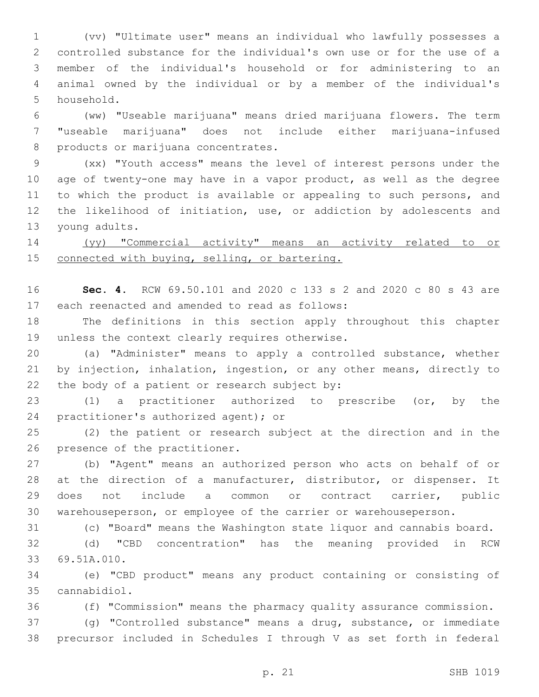(vv) "Ultimate user" means an individual who lawfully possesses a controlled substance for the individual's own use or for the use of a member of the individual's household or for administering to an animal owned by the individual or by a member of the individual's 5 household.

 (ww) "Useable marijuana" means dried marijuana flowers. The term "useable marijuana" does not include either marijuana-infused 8 products or marijuana concentrates.

 (xx) "Youth access" means the level of interest persons under the age of twenty-one may have in a vapor product, as well as the degree to which the product is available or appealing to such persons, and the likelihood of initiation, use, or addiction by adolescents and 13 young adults.

 (yy) "Commercial activity" means an activity related to or 15 connected with buying, selling, or bartering.

 **Sec. 4.** RCW 69.50.101 and 2020 c 133 s 2 and 2020 c 80 s 43 are 17 each reenacted and amended to read as follows:

 The definitions in this section apply throughout this chapter 19 unless the context clearly requires otherwise.

 (a) "Administer" means to apply a controlled substance, whether by injection, inhalation, ingestion, or any other means, directly to 22 the body of a patient or research subject by:

 (1) a practitioner authorized to prescribe (or, by the 24 practitioner's authorized agent); or

 (2) the patient or research subject at the direction and in the 26 presence of the practitioner.

 (b) "Agent" means an authorized person who acts on behalf of or at the direction of a manufacturer, distributor, or dispenser. It does not include a common or contract carrier, public warehouseperson, or employee of the carrier or warehouseperson.

(c) "Board" means the Washington state liquor and cannabis board.

 (d) "CBD concentration" has the meaning provided in RCW 33 69.51A.010.

 (e) "CBD product" means any product containing or consisting of cannabidiol.35

(f) "Commission" means the pharmacy quality assurance commission.

 (g) "Controlled substance" means a drug, substance, or immediate precursor included in Schedules I through V as set forth in federal

p. 21 SHB 1019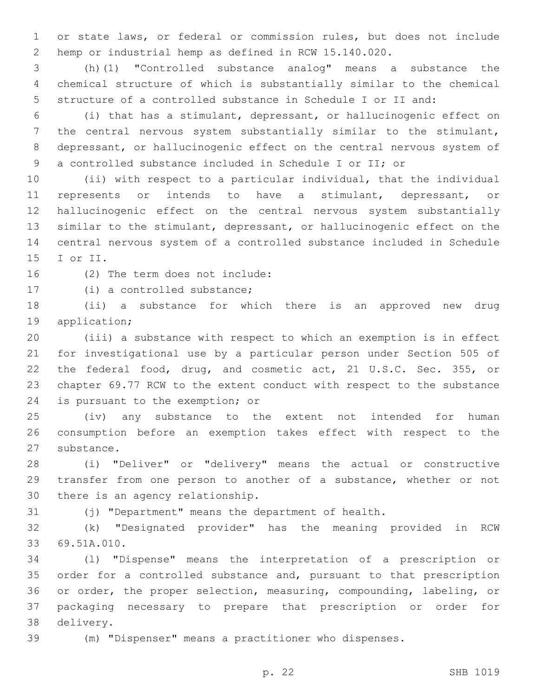or state laws, or federal or commission rules, but does not include hemp or industrial hemp as defined in RCW 15.140.020.

 (h)(1) "Controlled substance analog" means a substance the chemical structure of which is substantially similar to the chemical structure of a controlled substance in Schedule I or II and:

 (i) that has a stimulant, depressant, or hallucinogenic effect on the central nervous system substantially similar to the stimulant, depressant, or hallucinogenic effect on the central nervous system of a controlled substance included in Schedule I or II; or

 (ii) with respect to a particular individual, that the individual represents or intends to have a stimulant, depressant, or hallucinogenic effect on the central nervous system substantially similar to the stimulant, depressant, or hallucinogenic effect on the central nervous system of a controlled substance included in Schedule 15 I or II.

16 (2) The term does not include:

17 (i) a controlled substance;

 (ii) a substance for which there is an approved new drug 19 application;

 (iii) a substance with respect to which an exemption is in effect for investigational use by a particular person under Section 505 of the federal food, drug, and cosmetic act, 21 U.S.C. Sec. 355, or chapter 69.77 RCW to the extent conduct with respect to the substance 24 is pursuant to the exemption; or

 (iv) any substance to the extent not intended for human consumption before an exemption takes effect with respect to the 27 substance.

 (i) "Deliver" or "delivery" means the actual or constructive transfer from one person to another of a substance, whether or not 30 there is an agency relationship.

(j) "Department" means the department of health.

 (k) "Designated provider" has the meaning provided in RCW 69.51A.010.33

 (l) "Dispense" means the interpretation of a prescription or order for a controlled substance and, pursuant to that prescription or order, the proper selection, measuring, compounding, labeling, or packaging necessary to prepare that prescription or order for 38 delivery.

(m) "Dispenser" means a practitioner who dispenses.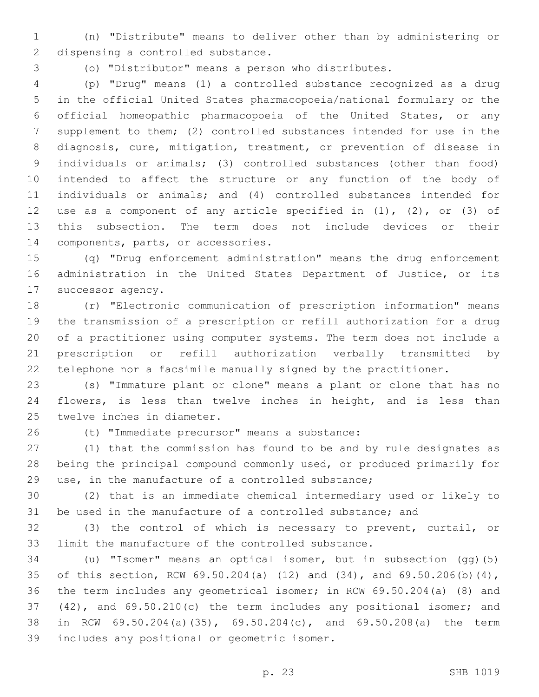(n) "Distribute" means to deliver other than by administering or 2 dispensing a controlled substance.

(o) "Distributor" means a person who distributes.

 (p) "Drug" means (1) a controlled substance recognized as a drug in the official United States pharmacopoeia/national formulary or the official homeopathic pharmacopoeia of the United States, or any supplement to them; (2) controlled substances intended for use in the diagnosis, cure, mitigation, treatment, or prevention of disease in individuals or animals; (3) controlled substances (other than food) intended to affect the structure or any function of the body of individuals or animals; and (4) controlled substances intended for use as a component of any article specified in (1), (2), or (3) of this subsection. The term does not include devices or their 14 components, parts, or accessories.

 (q) "Drug enforcement administration" means the drug enforcement administration in the United States Department of Justice, or its 17 successor agency.

 (r) "Electronic communication of prescription information" means the transmission of a prescription or refill authorization for a drug of a practitioner using computer systems. The term does not include a prescription or refill authorization verbally transmitted by telephone nor a facsimile manually signed by the practitioner.

 (s) "Immature plant or clone" means a plant or clone that has no flowers, is less than twelve inches in height, and is less than 25 twelve inches in diameter.

(t) "Immediate precursor" means a substance:26

 (1) that the commission has found to be and by rule designates as being the principal compound commonly used, or produced primarily for use, in the manufacture of a controlled substance;

 (2) that is an immediate chemical intermediary used or likely to be used in the manufacture of a controlled substance; and

 (3) the control of which is necessary to prevent, curtail, or limit the manufacture of the controlled substance.

 (u) "Isomer" means an optical isomer, but in subsection (gg)(5) of this section, RCW 69.50.204(a) (12) and (34), and 69.50.206(b)(4), the term includes any geometrical isomer; in RCW 69.50.204(a) (8) and (42), and 69.50.210(c) the term includes any positional isomer; and in RCW 69.50.204(a)(35), 69.50.204(c), and 69.50.208(a) the term 39 includes any positional or geometric isomer.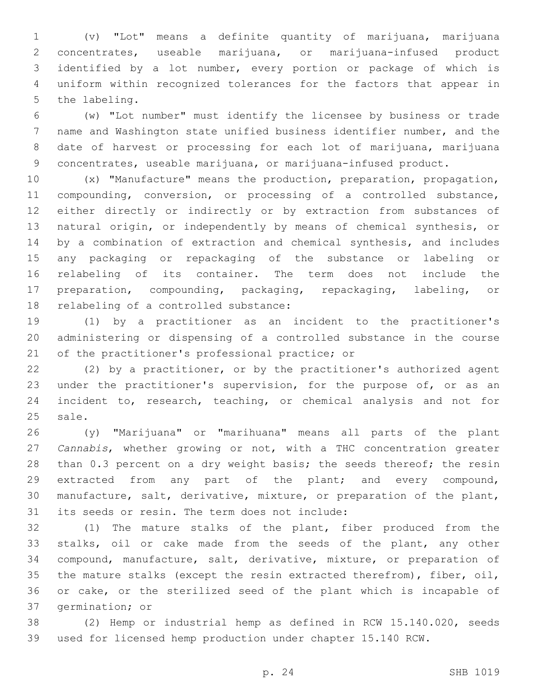(v) "Lot" means a definite quantity of marijuana, marijuana concentrates, useable marijuana, or marijuana-infused product identified by a lot number, every portion or package of which is uniform within recognized tolerances for the factors that appear in 5 the labeling.

 (w) "Lot number" must identify the licensee by business or trade name and Washington state unified business identifier number, and the date of harvest or processing for each lot of marijuana, marijuana concentrates, useable marijuana, or marijuana-infused product.

 (x) "Manufacture" means the production, preparation, propagation, compounding, conversion, or processing of a controlled substance, either directly or indirectly or by extraction from substances of natural origin, or independently by means of chemical synthesis, or by a combination of extraction and chemical synthesis, and includes any packaging or repackaging of the substance or labeling or relabeling of its container. The term does not include the preparation, compounding, packaging, repackaging, labeling, or 18 relabeling of a controlled substance:

 (1) by a practitioner as an incident to the practitioner's administering or dispensing of a controlled substance in the course 21 of the practitioner's professional practice; or

 (2) by a practitioner, or by the practitioner's authorized agent 23 under the practitioner's supervision, for the purpose of, or as an incident to, research, teaching, or chemical analysis and not for 25 sale.

 (y) "Marijuana" or "marihuana" means all parts of the plant *Cannabis*, whether growing or not, with a THC concentration greater 28 than 0.3 percent on a dry weight basis; the seeds thereof; the resin extracted from any part of the plant; and every compound, manufacture, salt, derivative, mixture, or preparation of the plant, 31 its seeds or resin. The term does not include:

 (1) The mature stalks of the plant, fiber produced from the stalks, oil or cake made from the seeds of the plant, any other compound, manufacture, salt, derivative, mixture, or preparation of the mature stalks (except the resin extracted therefrom), fiber, oil, or cake, or the sterilized seed of the plant which is incapable of 37 germination; or

 (2) Hemp or industrial hemp as defined in RCW 15.140.020, seeds used for licensed hemp production under chapter 15.140 RCW.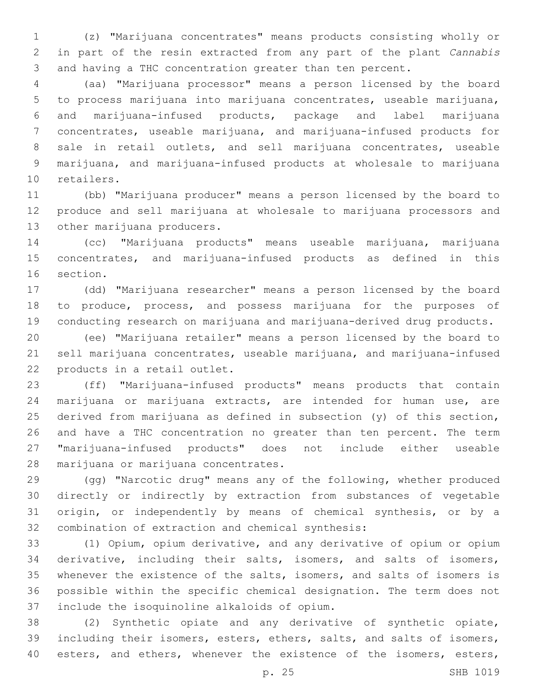(z) "Marijuana concentrates" means products consisting wholly or in part of the resin extracted from any part of the plant *Cannabis*  and having a THC concentration greater than ten percent.

 (aa) "Marijuana processor" means a person licensed by the board to process marijuana into marijuana concentrates, useable marijuana, and marijuana-infused products, package and label marijuana concentrates, useable marijuana, and marijuana-infused products for sale in retail outlets, and sell marijuana concentrates, useable marijuana, and marijuana-infused products at wholesale to marijuana 10 retailers.

 (bb) "Marijuana producer" means a person licensed by the board to produce and sell marijuana at wholesale to marijuana processors and 13 other marijuana producers.

 (cc) "Marijuana products" means useable marijuana, marijuana concentrates, and marijuana-infused products as defined in this 16 section.

 (dd) "Marijuana researcher" means a person licensed by the board to produce, process, and possess marijuana for the purposes of conducting research on marijuana and marijuana-derived drug products.

 (ee) "Marijuana retailer" means a person licensed by the board to sell marijuana concentrates, useable marijuana, and marijuana-infused 22 products in a retail outlet.

 (ff) "Marijuana-infused products" means products that contain marijuana or marijuana extracts, are intended for human use, are derived from marijuana as defined in subsection (y) of this section, and have a THC concentration no greater than ten percent. The term "marijuana-infused products" does not include either useable 28 marijuana or marijuana concentrates.

 (gg) "Narcotic drug" means any of the following, whether produced directly or indirectly by extraction from substances of vegetable origin, or independently by means of chemical synthesis, or by a 32 combination of extraction and chemical synthesis:

 (1) Opium, opium derivative, and any derivative of opium or opium derivative, including their salts, isomers, and salts of isomers, whenever the existence of the salts, isomers, and salts of isomers is possible within the specific chemical designation. The term does not 37 include the isoquinoline alkaloids of opium.

 (2) Synthetic opiate and any derivative of synthetic opiate, including their isomers, esters, ethers, salts, and salts of isomers, 40 esters, and ethers, whenever the existence of the isomers, esters,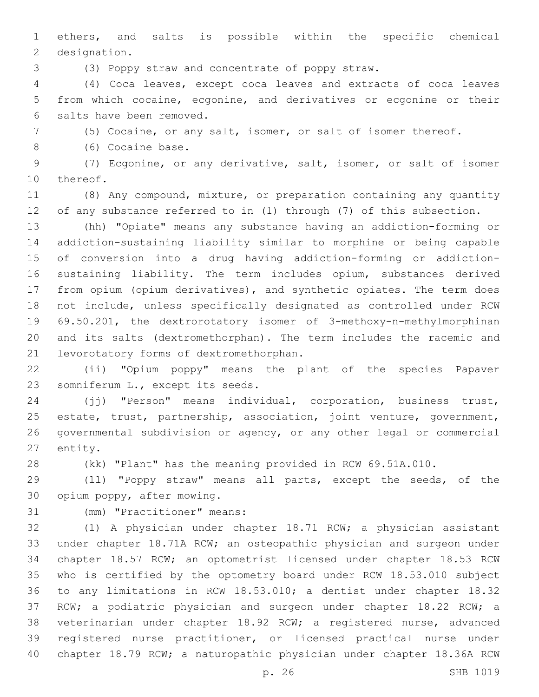ethers, and salts is possible within the specific chemical 2 designation.

(3) Poppy straw and concentrate of poppy straw.

 (4) Coca leaves, except coca leaves and extracts of coca leaves from which cocaine, ecgonine, and derivatives or ecgonine or their 6 salts have been removed.

(5) Cocaine, or any salt, isomer, or salt of isomer thereof.

8 (6) Cocaine base.

 (7) Ecgonine, or any derivative, salt, isomer, or salt of isomer 10 thereof.

 (8) Any compound, mixture, or preparation containing any quantity of any substance referred to in (1) through (7) of this subsection.

 (hh) "Opiate" means any substance having an addiction-forming or addiction-sustaining liability similar to morphine or being capable of conversion into a drug having addiction-forming or addiction- sustaining liability. The term includes opium, substances derived from opium (opium derivatives), and synthetic opiates. The term does not include, unless specifically designated as controlled under RCW 69.50.201, the dextrorotatory isomer of 3-methoxy-n-methylmorphinan and its salts (dextromethorphan). The term includes the racemic and 21 levorotatory forms of dextromethorphan.

 (ii) "Opium poppy" means the plant of the species Papaver 23 somniferum L., except its seeds.

 (jj) "Person" means individual, corporation, business trust, estate, trust, partnership, association, joint venture, government, governmental subdivision or agency, or any other legal or commercial 27 entity.

(kk) "Plant" has the meaning provided in RCW 69.51A.010.

 (ll) "Poppy straw" means all parts, except the seeds, of the 30 opium poppy, after mowing.

31 (mm) "Practitioner" means:

 (1) A physician under chapter 18.71 RCW; a physician assistant under chapter 18.71A RCW; an osteopathic physician and surgeon under chapter 18.57 RCW; an optometrist licensed under chapter 18.53 RCW who is certified by the optometry board under RCW 18.53.010 subject to any limitations in RCW 18.53.010; a dentist under chapter 18.32 RCW; a podiatric physician and surgeon under chapter 18.22 RCW; a veterinarian under chapter 18.92 RCW; a registered nurse, advanced registered nurse practitioner, or licensed practical nurse under chapter 18.79 RCW; a naturopathic physician under chapter 18.36A RCW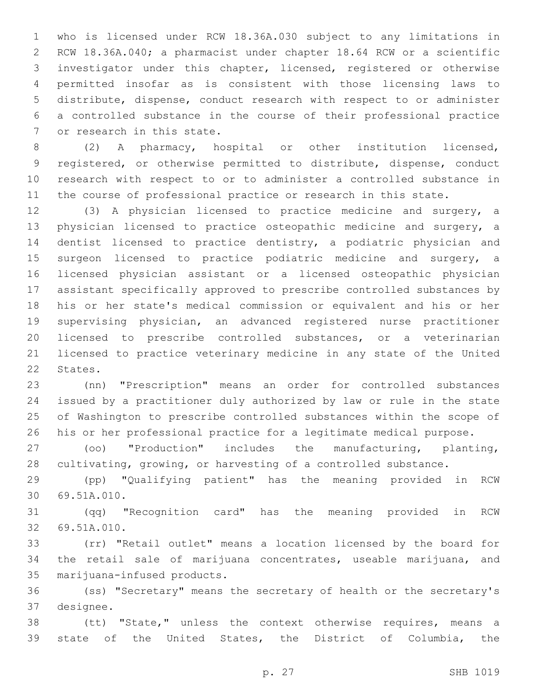who is licensed under RCW 18.36A.030 subject to any limitations in RCW 18.36A.040; a pharmacist under chapter 18.64 RCW or a scientific investigator under this chapter, licensed, registered or otherwise permitted insofar as is consistent with those licensing laws to distribute, dispense, conduct research with respect to or administer a controlled substance in the course of their professional practice 7 or research in this state.

 (2) A pharmacy, hospital or other institution licensed, registered, or otherwise permitted to distribute, dispense, conduct research with respect to or to administer a controlled substance in the course of professional practice or research in this state.

 (3) A physician licensed to practice medicine and surgery, a physician licensed to practice osteopathic medicine and surgery, a dentist licensed to practice dentistry, a podiatric physician and surgeon licensed to practice podiatric medicine and surgery, a licensed physician assistant or a licensed osteopathic physician assistant specifically approved to prescribe controlled substances by his or her state's medical commission or equivalent and his or her supervising physician, an advanced registered nurse practitioner licensed to prescribe controlled substances, or a veterinarian licensed to practice veterinary medicine in any state of the United 22 States.

 (nn) "Prescription" means an order for controlled substances issued by a practitioner duly authorized by law or rule in the state of Washington to prescribe controlled substances within the scope of his or her professional practice for a legitimate medical purpose.

 (oo) "Production" includes the manufacturing, planting, cultivating, growing, or harvesting of a controlled substance.

 (pp) "Qualifying patient" has the meaning provided in RCW 69.51A.010.30

 (qq) "Recognition card" has the meaning provided in RCW 32 69.51A.010.

 (rr) "Retail outlet" means a location licensed by the board for the retail sale of marijuana concentrates, useable marijuana, and 35 marijuana-infused products.

 (ss) "Secretary" means the secretary of health or the secretary's 37 designee.

 (tt) "State," unless the context otherwise requires, means a state of the United States, the District of Columbia, the